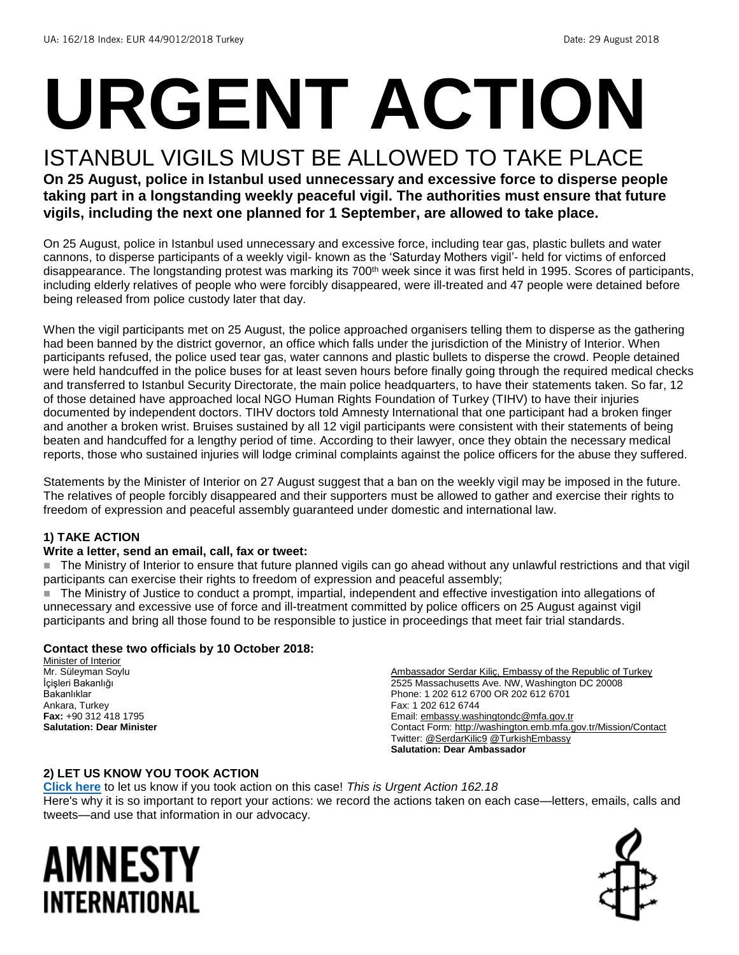# **URGENT ACTION**

## ISTANBUL VIGILS MUST BE ALLOWED TO TAKE PLACE

**On 25 August, police in Istanbul used unnecessary and excessive force to disperse people taking part in a longstanding weekly peaceful vigil. The authorities must ensure that future vigils, including the next one planned for 1 September, are allowed to take place.**

On 25 August, police in Istanbul used unnecessary and excessive force, including tear gas, plastic bullets and water cannons, to disperse participants of a weekly vigil- known as the 'Saturday Mothers vigil'- held for victims of enforced disappearance. The longstanding protest was marking its 700<sup>th</sup> week since it was first held in 1995. Scores of participants, including elderly relatives of people who were forcibly disappeared, were ill-treated and 47 people were detained before being released from police custody later that day.

When the vigil participants met on 25 August, the police approached organisers telling them to disperse as the gathering had been banned by the district governor, an office which falls under the jurisdiction of the Ministry of Interior. When participants refused, the police used tear gas, water cannons and plastic bullets to disperse the crowd. People detained were held handcuffed in the police buses for at least seven hours before finally going through the required medical checks and transferred to Istanbul Security Directorate, the main police headquarters, to have their statements taken. So far, 12 of those detained have approached local NGO Human Rights Foundation of Turkey (TIHV) to have their injuries documented by independent doctors. TIHV doctors told Amnesty International that one participant had a broken finger and another a broken wrist. Bruises sustained by all 12 vigil participants were consistent with their statements of being beaten and handcuffed for a lengthy period of time. According to their lawyer, once they obtain the necessary medical reports, those who sustained injuries will lodge criminal complaints against the police officers for the abuse they suffered.

Statements by the Minister of Interior on 27 August suggest that a ban on the weekly vigil may be imposed in the future. The relatives of people forcibly disappeared and their supporters must be allowed to gather and exercise their rights to freedom of expression and peaceful assembly guaranteed under domestic and international law.

#### **1) TAKE ACTION**

#### **Write a letter, send an email, call, fax or tweet:**

■ The Ministry of Interior to ensure that future planned vigils can go ahead without any unlawful restrictions and that vigil participants can exercise their rights to freedom of expression and peaceful assembly;

The Ministry of Justice to conduct a prompt, impartial, independent and effective investigation into allegations of unnecessary and excessive use of force and ill-treatment committed by police officers on 25 August against vigil participants and bring all those found to be responsible to justice in proceedings that meet fair trial standards.

#### **Contact these two officials by 10 October 2018:**

Minister of Interior Mr. Süleyman Soylu İçişleri Bakanlığı Bakanlıklar Ankara, Turkey **Fax:** +90 312 418 1795 **Salutation: Dear Minister**

Ambassador Serdar Kiliç, Embassy of the Republic of Turkey 2525 Massachusetts Ave. NW, Washington DC 20008 Phone: 1 202 612 6700 OR 202 612 6701 Fax: 1 202 612 6744 Email[: embassy.washingtondc@mfa.gov.tr](mailto:embassy.washingtondc@mfa.gov.tr) Contact Form:<http://washington.emb.mfa.gov.tr/Mission/Contact> Twitter[: @SerdarKilic9](https://twitter.com/serdarkilic9?ref_src=twsrc%5Egoogle%7Ctwcamp%5Eserp%7Ctwgr%5Eauthor) [@TurkishEmbassy](https://twitter.com/turkishembassy) **Salutation: Dear Ambassador**

#### **2) LET US KNOW YOU TOOK ACTION**

**[Click here](https://www.amnestyusa.org/report-urgent-actions/)** to let us know if you took action on this case! *This is Urgent Action 162.18* Here's why it is so important to report your actions: we record the actions taken on each case—letters, emails, calls and tweets—and use that information in our advocacy.